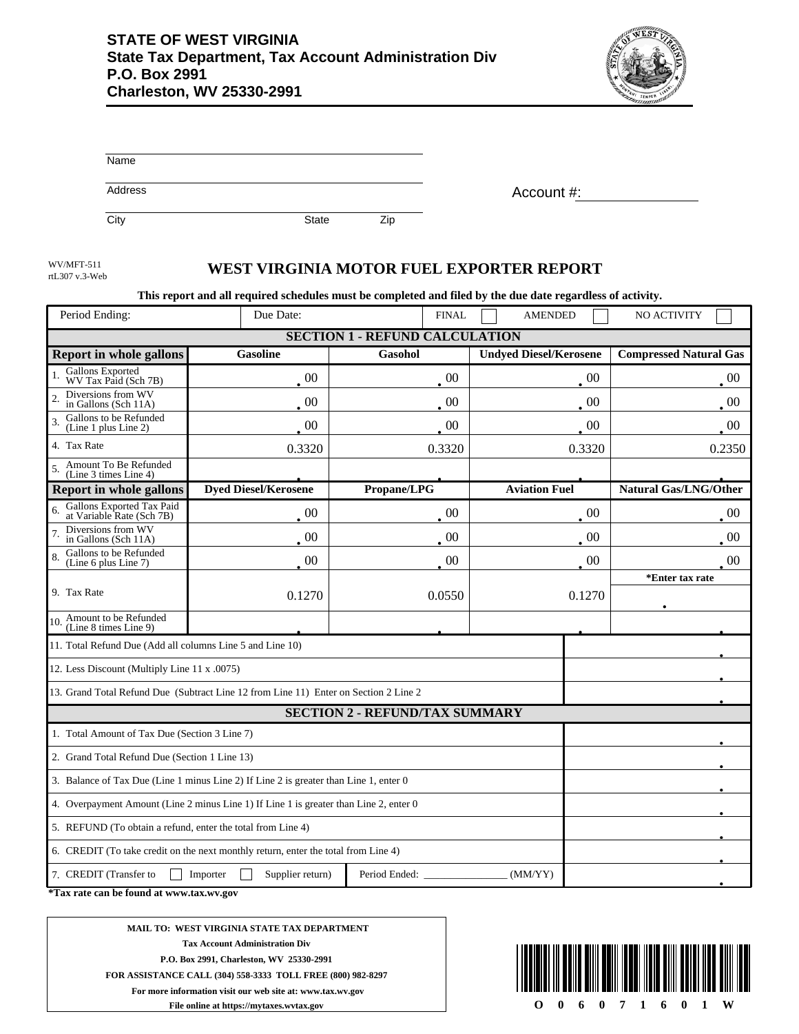

| Name           |            |
|----------------|------------|
| <b>Address</b> | Account #: |

City **State** Zip

rtL307 v.3-Web

## WEST VIRGINIA MOTOR FUEL EXPORTER REPORT

**This report and all required schedules must be completed and filed by the due date regardless of activity.**

| Period Ending:                                                                        | Due Date:                   |             | <b>AMENDED</b>                | NO ACTIVITY                   |  |  |  |  |
|---------------------------------------------------------------------------------------|-----------------------------|-------------|-------------------------------|-------------------------------|--|--|--|--|
| <b>SECTION 1 - REFUND CALCULATION</b>                                                 |                             |             |                               |                               |  |  |  |  |
| <b>Report in whole gallons</b>                                                        | <b>Gasoline</b>             | Gasohol     | <b>Undyed Diesel/Kerosene</b> | <b>Compressed Natural Gas</b> |  |  |  |  |
| Gallons Exported<br>WV Tax Paid (Sch 7B)                                              | $00\,$                      | $00\,$      | 00                            | 00                            |  |  |  |  |
| Diversions from WV<br>in Gallons (Sch 11A)                                            | $00\,$                      | $00\,$      | 00                            | $00\,$                        |  |  |  |  |
| Gallons to be Refunded<br>(Line 1 plus Line 2)                                        | $00\,$                      | $00\,$      | 00                            | $00\,$                        |  |  |  |  |
| 4. Tax Rate                                                                           | 0.3320                      | 0.3320      | 0.3320                        | 0.2350                        |  |  |  |  |
| Amount To Be Refunded<br>5.<br>(Line 3 times Line 4)                                  |                             |             |                               |                               |  |  |  |  |
| <b>Report in whole gallons</b>                                                        | <b>Dyed Diesel/Kerosene</b> | Propane/LPG | <b>Aviation Fuel</b>          | <b>Natural Gas/LNG/Other</b>  |  |  |  |  |
| Gallons Exported Tax Paid<br>at Variable Rate (Sch 7B)                                | 00                          | 00          | 00                            | 00                            |  |  |  |  |
| Diversions from WV<br>in Gallons (Sch 11A)                                            | $00\,$                      | 00          | 00                            | 00                            |  |  |  |  |
| Gallons to be Refunded<br>(Line 6 plus Line 7)                                        | $00\,$                      | $00\,$      | $00\,$                        | 0 <sup>0</sup>                |  |  |  |  |
|                                                                                       |                             |             |                               | *Enter tax rate               |  |  |  |  |
| 9. Tax Rate                                                                           | 0.1270                      | 0.0550      | 0.1270                        |                               |  |  |  |  |
| 10. Amount to be Refunded<br>(Line 8 times Line 9)                                    |                             |             |                               |                               |  |  |  |  |
| 11. Total Refund Due (Add all columns Line 5 and Line 10)                             |                             |             |                               |                               |  |  |  |  |
| 12. Less Discount (Multiply Line 11 x .0075)                                          |                             |             |                               |                               |  |  |  |  |
| 13. Grand Total Refund Due (Subtract Line 12 from Line 11) Enter on Section 2 Line 2  |                             |             |                               |                               |  |  |  |  |
| <b>SECTION 2 - REFUND/TAX SUMMARY</b>                                                 |                             |             |                               |                               |  |  |  |  |
| 1. Total Amount of Tax Due (Section 3 Line 7)                                         |                             |             |                               |                               |  |  |  |  |
| 2. Grand Total Refund Due (Section 1 Line 13)                                         |                             |             |                               |                               |  |  |  |  |
| 3. Balance of Tax Due (Line 1 minus Line 2) If Line 2 is greater than Line 1, enter 0 |                             |             |                               |                               |  |  |  |  |
| 4. Overpayment Amount (Line 2 minus Line 1) If Line 1 is greater than Line 2, enter 0 |                             |             |                               |                               |  |  |  |  |
| 5. REFUND (To obtain a refund, enter the total from Line 4)                           |                             |             |                               |                               |  |  |  |  |
| 6. CREDIT (To take credit on the next monthly return, enter the total from Line 4)    |                             |             |                               |                               |  |  |  |  |
| 7. CREDIT (Transfer to<br>Supplier return)<br>Period Ended:<br>(MM/YY)<br>Importer    |                             |             |                               |                               |  |  |  |  |

**\*Tax rate can be found at www.tax.wv.gov** 

**MAIL TO: WEST VIRGINIA STATE TAX DEPARTMENT Tax Account Administration Div P.O. Box 2991, Charleston, WV 25330-2991 FOR ASSISTANCE CALL (304) 558-3333 TOLL FREE (800) 982-8297 For more information visit our web site at: www.tax.wv.gov File online at https://mytaxes.wvtax.gov**